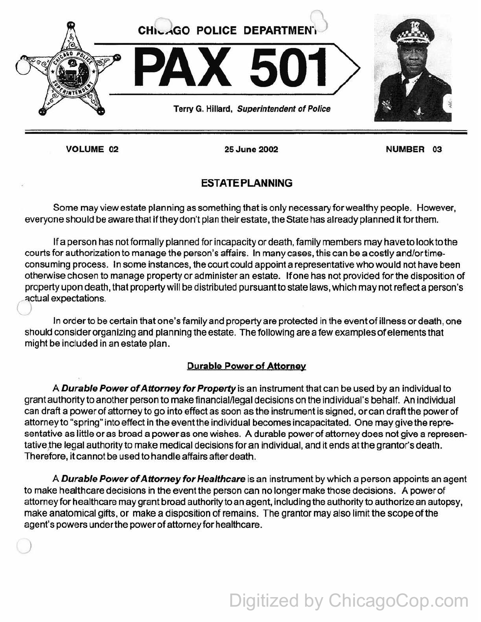

VOLUME 02

)

25 June 2002

NUMBER 03

## ESTATE PLANNING

Some may view estate planning as something that is only necessary for wealthy people. However, everyone should be aware that if they don't plan their estate, the State has already planned it for them.

If a person has not formally planned for incapacity or death, family members may have to look to the courts for authorization to manage the person's affairs. In many cases, this can be a costly and/ortimeconsuming process. In some instances, the court could appoint a representative who would not have been otherwise chosen to manage property or administer an estate. If one has not provided for the disposition of property upon death, that property will be distributed pursuant to state laws, which may not reflect a person's ~ctual expectations.

In order to be certain that one's family and property are protected in the event of illness or death, one should consider organizing and planning the estate. The following are a few examples of elements that might be included in an estate plan.

### Durable Power of Attorney

A Durable Power of Attorney for Property is an instrument that can be used by an individual to grant authority to another person to make financial/legal decisions on the individual's behalf. An individual can draft a power of attorney to go into effect as soon as the instrument is signed, or can draft the power of attorney to "spring" into effect in the event the individual becomes incapacitated. One may give the representative as little or as broad a power as one wishes. A durable power of attorney does not give a representative the legal authority to make medical decisions for an individual, and it ends at the grantor's death. Therefore, it cannot be used to handle affairs after death.

A Durable Power of Attorney for Healthcare is an instrument by which a person appoints an agent to make healthcare decisions in the event the person can no longer make those decisions. A power of attorney for healthcare may grant broad authority to an agent, including the authority to authorize an autopsy, make anatomical gifts, or make a disposition of remains. The grantor may also limit the scope of the agent's powers under the power of attorney for healthcare.

# Digitized by ChicagoCop.com